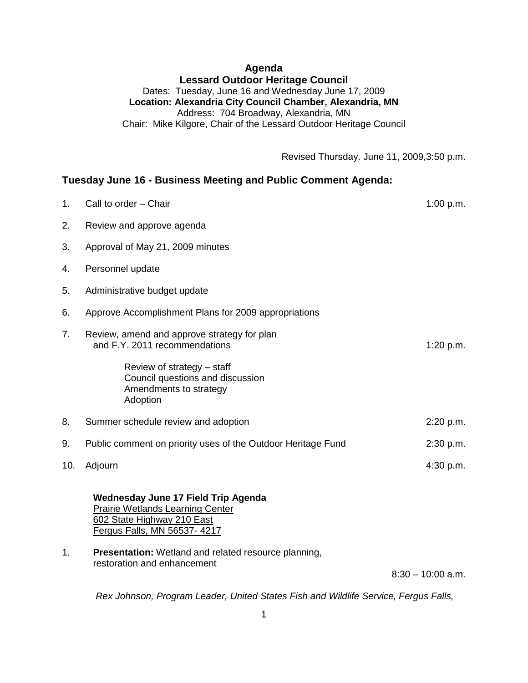## **Agenda Lessard Outdoor Heritage Council** Dates: Tuesday, June 16 and Wednesday June 17, 2009 **Location: Alexandria City Council Chamber, Alexandria, MN** Address: 704 Broadway, Alexandria, MN Chair: Mike Kilgore, Chair of the Lessard Outdoor Heritage Council

Revised Thursday. June 11, 2009,3:50 p.m.

## **Tuesday June 16 - Business Meeting and Public Comment Agenda:**

| 1.  | Call to order - Chair                                                                                                                              | 1:00 p.m. |
|-----|----------------------------------------------------------------------------------------------------------------------------------------------------|-----------|
| 2.  | Review and approve agenda                                                                                                                          |           |
| 3.  | Approval of May 21, 2009 minutes                                                                                                                   |           |
| 4.  | Personnel update                                                                                                                                   |           |
| 5.  | Administrative budget update                                                                                                                       |           |
| 6.  | Approve Accomplishment Plans for 2009 appropriations                                                                                               |           |
| 7.  | Review, amend and approve strategy for plan<br>and F.Y. 2011 recommendations                                                                       | 1:20 p.m. |
|     | Review of strategy - staff<br>Council questions and discussion<br>Amendments to strategy<br>Adoption                                               |           |
| 8.  | Summer schedule review and adoption                                                                                                                | 2:20 p.m. |
| 9.  | Public comment on priority uses of the Outdoor Heritage Fund                                                                                       | 2:30 p.m. |
| 10. | Adjourn                                                                                                                                            | 4:30 p.m. |
|     | <b>Wednesday June 17 Field Trip Agenda</b><br><b>Prairie Wetlands Learning Center</b><br>602 State Highway 210 East<br>Fergus Falls, MN 56537-4217 |           |
| 1.  | <b>Presentation:</b> Wetland and related resource planning,                                                                                        |           |

restoration and enhancement

8:30 – 10:00 a.m.

*Rex Johnson, Program Leader, United States Fish and Wildlife Service, Fergus Falls,*